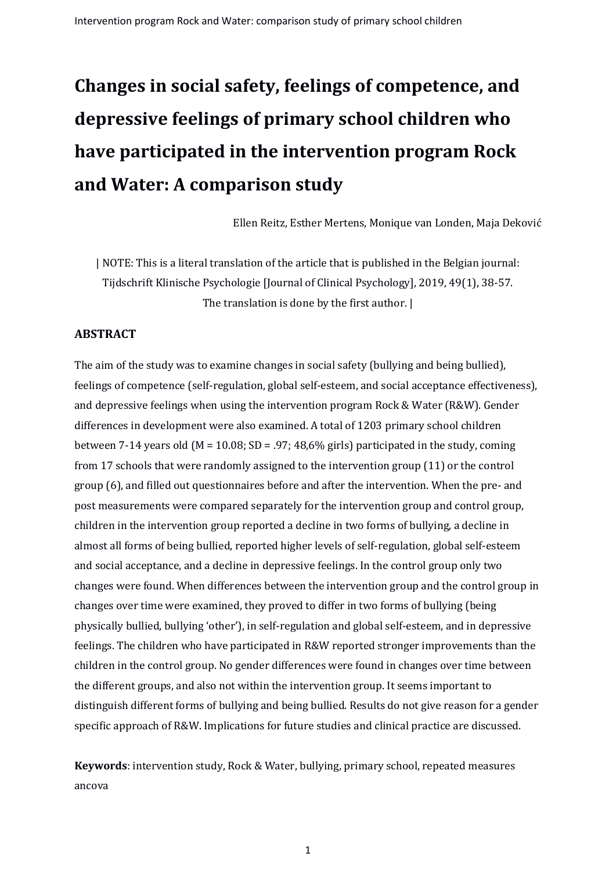# **Changes in social safety, feelings of competence, and depressive feelings of primary school children who have participated in the intervention program Rock and Water: A comparison study**

Ellen Reitz, Esther Mertens, Monique van Londen, Maja Deković

| NOTE: This is a literal translation of the article that is published in the Belgian journal: Tijdschrift Klinische Psychologie [Journal of Clinical Psychology], 2019, 49(1), 38-57. The translation is done by the first author. |

#### **ABSTRACT**

The aim of the study was to examine changes in social safety (bullying and being bullied), feelings of competence (self-regulation, global self-esteem, and social acceptance effectiveness), and depressive feelings when using the intervention program Rock & Water (R&W). Gender differences in development were also examined. A total of 1203 primary school children between 7-14 years old (M = 10.08; SD = .97; 48,6% girls) participated in the study, coming from 17 schools that were randomly assigned to the intervention group (11) or the control group (6), and filled out questionnaires before and after the intervention. When the pre- and post measurements were compared separately for the intervention group and control group, children in the intervention group reported a decline in two forms of bullying, a decline in almost all forms of being bullied, reported higher levels of self-regulation, global self-esteem and social acceptance, and a decline in depressive feelings. In the control group only two changes were found. When differences between the intervention group and the control group in changes over time were examined, they proved to differ in two forms of bullying (being physically bullied, bullying 'other'), in self-regulation and global self-esteem, and in depressive feelings. The children who have participated in R&W reported stronger improvements than the children in the control group. No gender differences were found in changes over time between the different groups, and also not within the intervention group. It seems important to distinguish different forms of bullying and being bullied. Results do not give reason for a gender specific approach of R&W. Implications for future studies and clinical practice are discussed.

**Keywords**: intervention study, Rock & Water, bullying, primary school, repeated measures ancova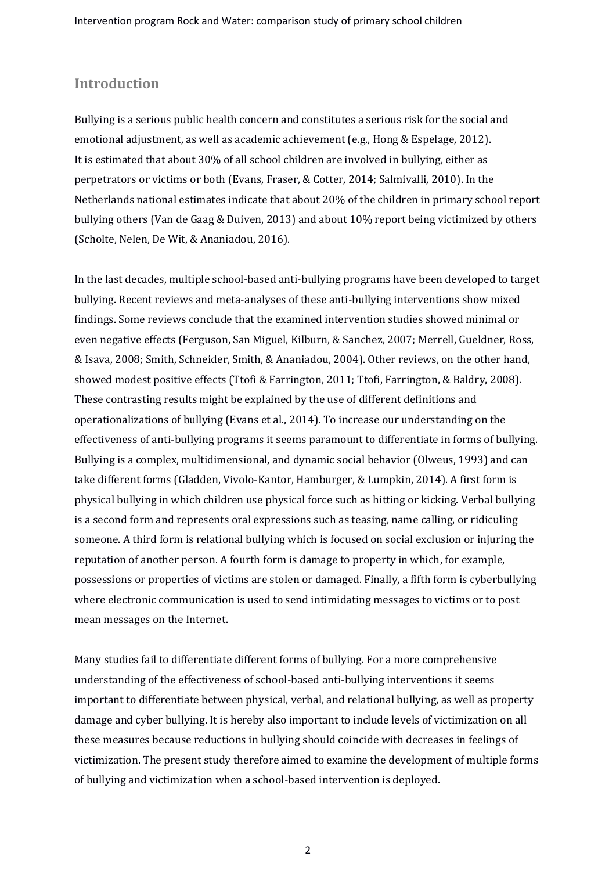## **Introduction**

Bullying is a serious public health concern and constitutes a serious risk for the social and emotional adjustment, as well as academic achievement (e.g., Hong & Espelage, 2012). It is estimated that about 30% of all school children are involved in bullying, either as perpetrators or victims or both (Evans, Fraser, & Cotter, 2014; Salmivalli, 2010). In the Netherlands national estimates indicate that about 20% of the children in primary school report bullying others (Van de Gaag & Duiven, 2013) and about 10% report being victimized by others (Scholte, Nelen, De Wit, & Ananiadou, 2016).

In the last decades, multiple school-based anti-bullying programs have been developed to target bullying. Recent reviews and meta-analyses of these anti-bullying interventions show mixed findings. Some reviews conclude that the examined intervention studies showed minimal or even negative effects (Ferguson, San Miguel, Kilburn, & Sanchez, 2007; Merrell, Gueldner, Ross, & Isava, 2008; Smith, Schneider, Smith, & Ananiadou, 2004). Other reviews, on the other hand, showed modest positive effects (Ttofi & Farrington, 2011; Ttofi, Farrington, & Baldry, 2008). These contrasting results might be explained by the use of different definitions and operationalizations of bullying (Evans et al., 2014). To increase our understanding on the effectiveness of anti-bullying programs it seems paramount to differentiate in forms of bullying. Bullying is a complex, multidimensional, and dynamic social behavior (Olweus, 1993) and can take different forms (Gladden, Vivolo-Kantor, Hamburger, & Lumpkin, 2014). A first form is physical bullying in which children use physical force such as hitting or kicking. Verbal bullying is a second form and represents oral expressions such as teasing, name calling, or ridiculing someone. A third form is relational bullying which is focused on social exclusion or injuring the reputation of another person. A fourth form is damage to property in which, for example, possessions or properties of victims are stolen or damaged. Finally, a fifth form is cyberbullying where electronic communication is used to send intimidating messages to victims or to post mean messages on the Internet.

Many studies fail to differentiate different forms of bullying. For a more comprehensive understanding of the effectiveness of school-based anti-bullying interventions it seems important to differentiate between physical, verbal, and relational bullying, as well as property damage and cyber bullying. It is hereby also important to include levels of victimization on all these measures because reductions in bullying should coincide with decreases in feelings of victimization. The present study therefore aimed to examine the development of multiple forms of bullying and victimization when a school-based intervention is deployed.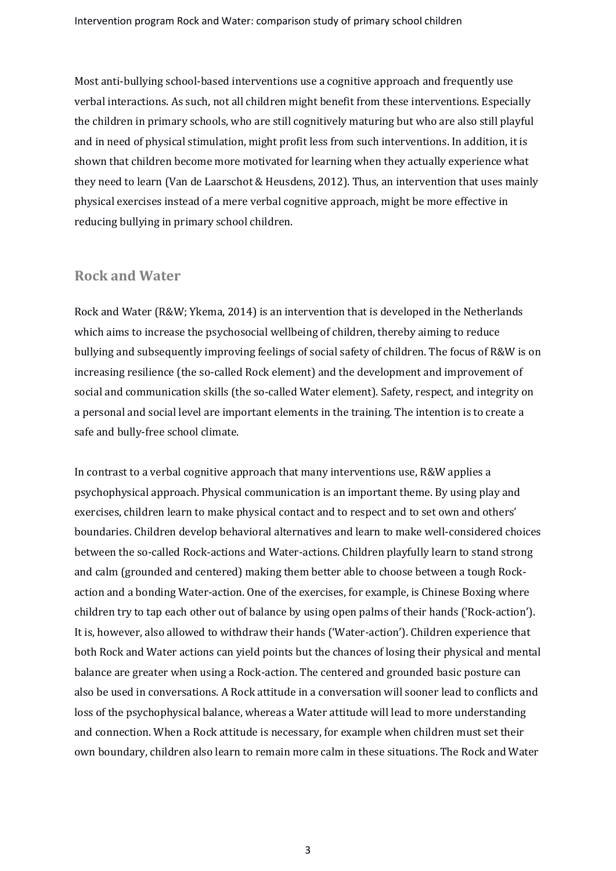Most anti-bullying school-based interventions use a cognitive approach and frequently use verbal interactions. As such, not all children might benefit from these interventions. Especially the children in primary schools, who are still cognitively maturing but who are also still playful and in need of physical stimulation, might profit less from such interventions. In addition, it is shown that children become more motivated for learning when they actually experience what they need to learn (Van de Laarschot & Heusdens, 2012). Thus, an intervention that uses mainly physical exercises instead of a mere verbal cognitive approach, might be more effective in reducing bullying in primary school children.

#### **Rock and Water**

Rock and Water (R&W; Ykema, 2014) is an intervention that is developed in the Netherlands which aims to increase the psychosocial wellbeing of children, thereby aiming to reduce bullying and subsequently improving feelings of social safety of children. The focus of R&W is on increasing resilience (the so-called Rock element) and the development and improvement of social and communication skills (the so-called Water element). Safety, respect, and integrity on a personal and social level are important elements in the training. The intention is to create a safe and bully-free school climate.

In contrast to a verbal cognitive approach that many interventions use, R&W applies a psychophysical approach. Physical communication is an important theme. By using play and exercises, children learn to make physical contact and to respect and to set own and others' boundaries. Children develop behavioral alternatives and learn to make well-considered choices between the so-called Rock-actions and Water-actions. Children playfully learn to stand strong and calm (grounded and centered) making them better able to choose between a tough Rockaction and a bonding Water-action. One of the exercises, for example, is Chinese Boxing where children try to tap each other out of balance by using open palms of their hands ('Rock-action'). It is, however, also allowed to withdraw their hands ('Water-action'). Children experience that both Rock and Water actions can yield points but the chances of losing their physical and mental balance are greater when using a Rock-action. The centered and grounded basic posture can also be used in conversations. A Rock attitude in a conversation will sooner lead to conflicts and loss of the psychophysical balance, whereas a Water attitude will lead to more understanding and connection. When a Rock attitude is necessary, for example when children must set their own boundary, children also learn to remain more calm in these situations. The Rock and Water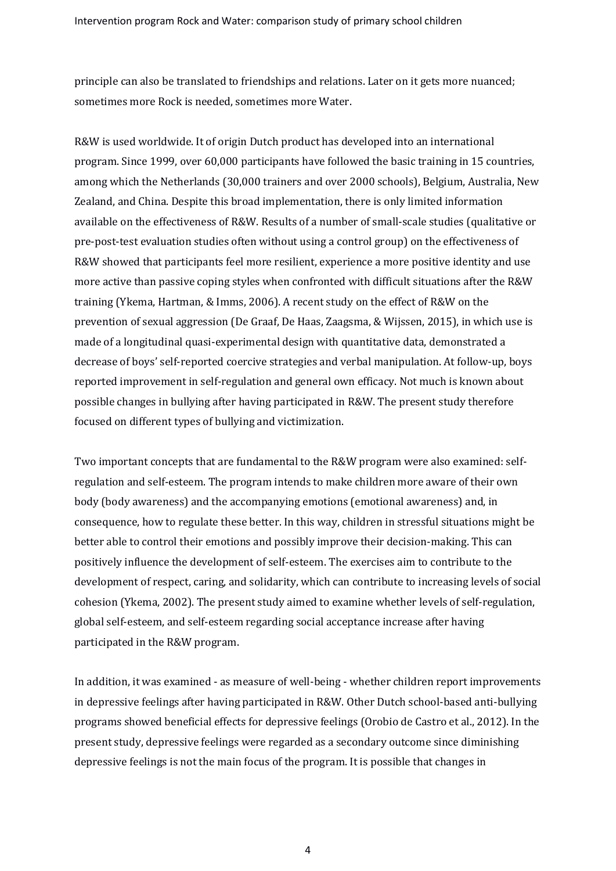principle can also be translated to friendships and relations. Later on it gets more nuanced; sometimes more Rock is needed, sometimes more Water.

R&W is used worldwide. It of origin Dutch product has developed into an international program. Since 1999, over 60,000 participants have followed the basic training in 15 countries, among which the Netherlands (30,000 trainers and over 2000 schools), Belgium, Australia, New Zealand, and China. Despite this broad implementation, there is only limited information available on the effectiveness of R&W. Results of a number of small-scale studies (qualitative or pre-post-test evaluation studies often without using a control group) on the effectiveness of R&W showed that participants feel more resilient, experience a more positive identity and use more active than passive coping styles when confronted with difficult situations after the R&W training (Ykema, Hartman, & Imms, 2006). A recent study on the effect of R&W on the prevention of sexual aggression (De Graaf, De Haas, Zaagsma, & Wijssen, 2015), in which use is made of a longitudinal quasi-experimental design with quantitative data, demonstrated a decrease of boys' self-reported coercive strategies and verbal manipulation. At follow-up, boys reported improvement in self-regulation and general own efficacy. Not much is known about possible changes in bullying after having participated in R&W. The present study therefore focused on different types of bullying and victimization.

Two important concepts that are fundamental to the R&W program were also examined: selfregulation and self-esteem. The program intends to make children more aware of their own body (body awareness) and the accompanying emotions (emotional awareness) and, in consequence, how to regulate these better. In this way, children in stressful situations might be better able to control their emotions and possibly improve their decision-making. This can positively influence the development of self-esteem. The exercises aim to contribute to the development of respect, caring, and solidarity, which can contribute to increasing levels of social cohesion (Ykema, 2002). The present study aimed to examine whether levels of self-regulation, global self-esteem, and self-esteem regarding social acceptance increase after having participated in the R&W program.

In addition, it was examined - as measure of well-being - whether children report improvements in depressive feelings after having participated in R&W. Other Dutch school-based anti-bullying programs showed beneficial effects for depressive feelings (Orobio de Castro et al., 2012). In the present study, depressive feelings were regarded as a secondary outcome since diminishing depressive feelings is not the main focus of the program. It is possible that changes in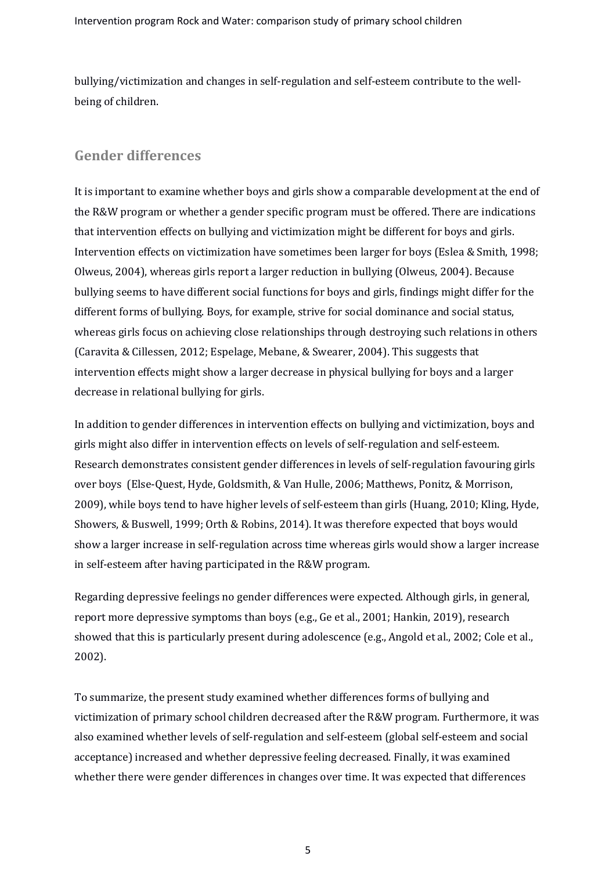bullying/victimization and changes in self-regulation and self-esteem contribute to the wellbeing of children.

# **Gender differences**

It is important to examine whether boys and girls show a comparable development at the end of the R&W program or whether a gender specific program must be offered. There are indications that intervention effects on bullying and victimization might be different for boys and girls. Intervention effects on victimization have sometimes been larger for boys (Eslea & Smith, 1998; Olweus, 2004), whereas girls report a larger reduction in bullying (Olweus, 2004). Because bullying seems to have different social functions for boys and girls, findings might differ for the different forms of bullying. Boys, for example, strive for social dominance and social status, whereas girls focus on achieving close relationships through destroying such relations in others (Caravita & Cillessen, 2012; Espelage, Mebane, & Swearer, 2004). This suggests that intervention effects might show a larger decrease in physical bullying for boys and a larger decrease in relational bullying for girls.

In addition to gender differences in intervention effects on bullying and victimization, boys and girls might also differ in intervention effects on levels of self-regulation and self-esteem. Research demonstrates consistent gender differences in levels of self-regulation favouring girls over boys (Else-Quest, Hyde, Goldsmith, & Van Hulle, 2006; Matthews, Ponitz, & Morrison, 2009), while boys tend to have higher levels of self-esteem than girls (Huang, 2010; Kling, Hyde, Showers, & Buswell, 1999; Orth & Robins, 2014). It was therefore expected that boys would show a larger increase in self-regulation across time whereas girls would show a larger increase in self-esteem after having participated in the R&W program.

Regarding depressive feelings no gender differences were expected. Although girls, in general, report more depressive symptoms than boys (e.g., Ge et al., 2001; Hankin, 2019), research showed that this is particularly present during adolescence (e.g., Angold et al., 2002; Cole et al., 2002).

To summarize, the present study examined whether differences forms of bullying and victimization of primary school children decreased after the R&W program. Furthermore, it was also examined whether levels of self-regulation and self-esteem (global self-esteem and social acceptance) increased and whether depressive feeling decreased. Finally, it was examined whether there were gender differences in changes over time. It was expected that differences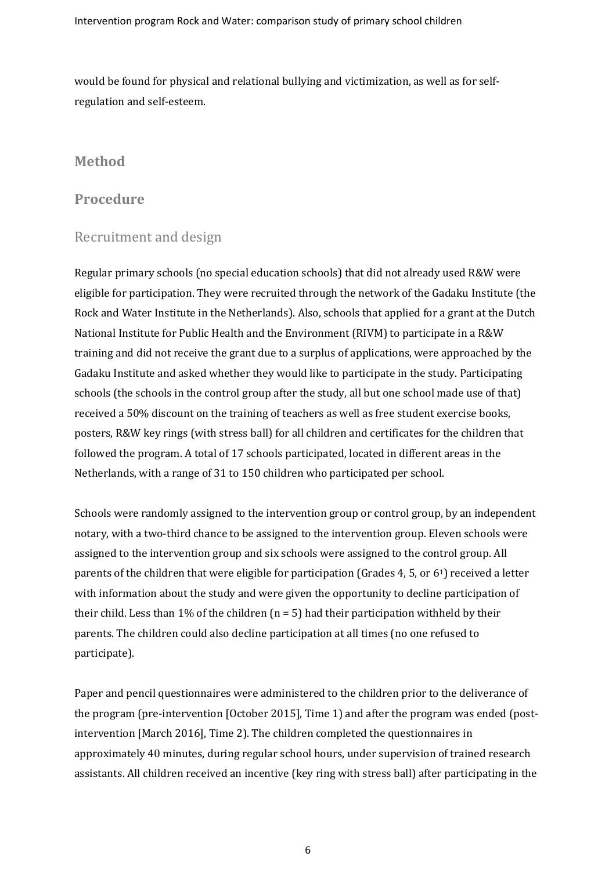would be found for physical and relational bullying and victimization, as well as for selfregulation and self-esteem.

# **Method**

## **Procedure**

# Recruitment and design

Regular primary schools (no special education schools) that did not already used R&W were eligible for participation. They were recruited through the network of the Gadaku Institute (the Rock and Water Institute in the Netherlands). Also, schools that applied for a grant at the Dutch National Institute for Public Health and the Environment (RIVM) to participate in a R&W training and did not receive the grant due to a surplus of applications, were approached by the Gadaku Institute and asked whether they would like to participate in the study. Participating schools (the schools in the control group after the study, all but one school made use of that) received a 50% discount on the training of teachers as well as free student exercise books, posters, R&W key rings (with stress ball) for all children and certificates for the children that followed the program. A total of 17 schools participated, located in different areas in the Netherlands, with a range of 31 to 150 children who participated per school.

Schools were randomly assigned to the intervention group or control group, by an independent notary, with a two-third chance to be assigned to the intervention group. Eleven schools were assigned to the intervention group and six schools were assigned to the control group. All parents of the children that were eligible for participation (Grades 4, 5, or 61) received a letter with information about the study and were given the opportunity to decline participation of their child. Less than 1% of the children  $(n = 5)$  had their participation withheld by their parents. The children could also decline participation at all times (no one refused to participate).

Paper and pencil questionnaires were administered to the children prior to the deliverance of the program (pre-intervention [October 2015], Time 1) and after the program was ended (postintervention [March 2016], Time 2). The children completed the questionnaires in approximately 40 minutes, during regular school hours, under supervision of trained research assistants. All children received an incentive (key ring with stress ball) after participating in the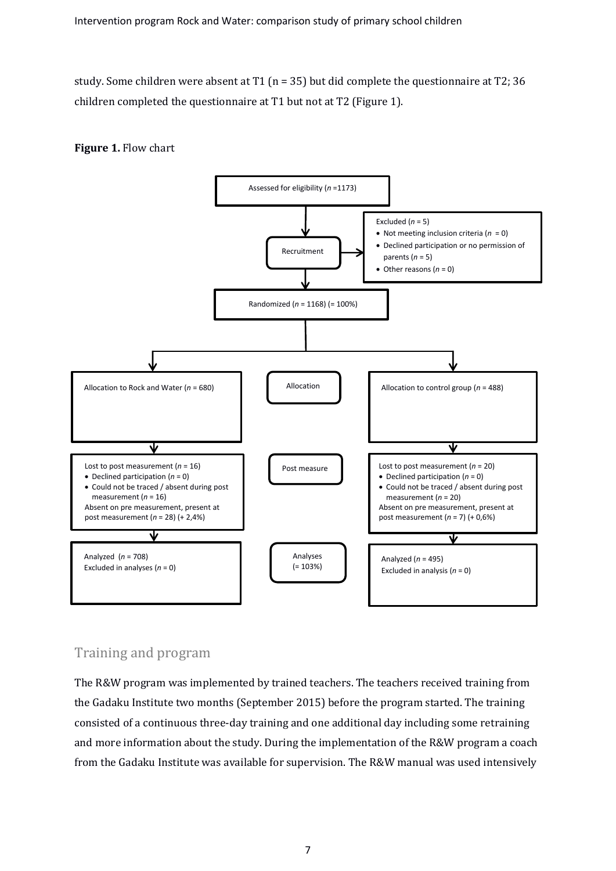study. Some children were absent at T1 (n = 35) but did complete the questionnaire at T2; 36 children completed the questionnaire at T1 but not at T2 (Figure 1).





# Training and program

The R&W program was implemented by trained teachers. The teachers received training from the Gadaku Institute two months (September 2015) before the program started. The training consisted of a continuous three-day training and one additional day including some retraining and more information about the study. During the implementation of the R&W program a coach from the Gadaku Institute was available for supervision. The R&W manual was used intensively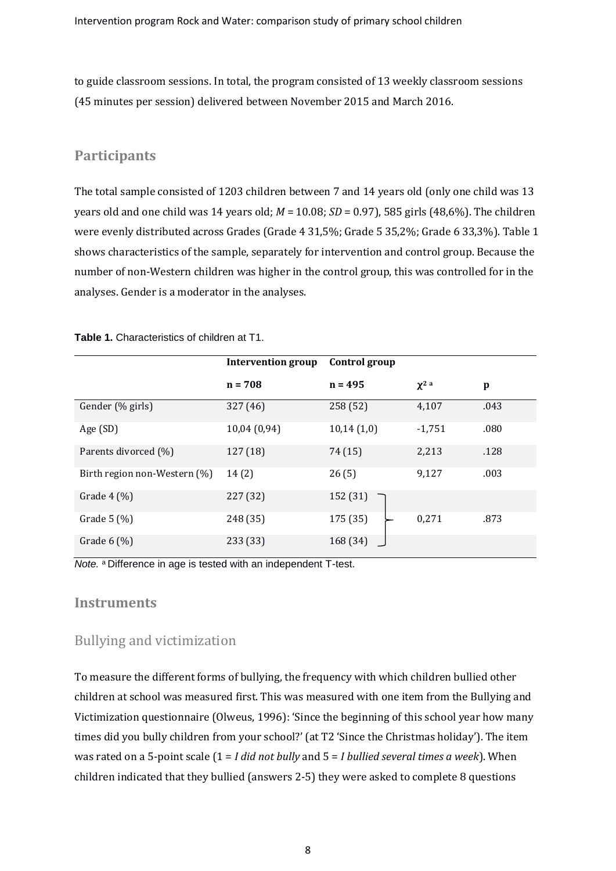to guide classroom sessions. In total, the program consisted of 13 weekly classroom sessions (45 minutes per session) delivered between November 2015 and March 2016.

## **Participants**

The total sample consisted of 1203 children between 7 and 14 years old (only one child was 13 years old and one child was 14 years old; *M* = 10.08; *SD* = 0.97), 585 girls (48,6%). The children were evenly distributed across Grades (Grade 4 31,5%; Grade 5 35,2%; Grade 6 33,3%). Table 1 shows characteristics of the sample, separately for intervention and control group. Because the number of non-Western children was higher in the control group, this was controlled for in the analyses. Gender is a moderator in the analyses.

|                              | <b>Intervention group</b> | Control group |            |      |
|------------------------------|---------------------------|---------------|------------|------|
|                              | $n = 708$                 | $n = 495$     | $\chi^2$ a | p    |
| Gender (% girls)             | 327 (46)                  | 258 (52)      | 4,107      | .043 |
| Age (SD)                     | 10,04 (0,94)              | 10,14(1,0)    | $-1,751$   | .080 |
| Parents divorced (%)         | 127 (18)                  | 74 (15)       | 2,213      | .128 |
| Birth region non-Western (%) | 14(2)                     | 26(5)         | 9,127      | .003 |
| Grade $4 \left( % \right)$   | 227 (32)                  | 152 (31)      |            |      |
| Grade $5(%)$                 | 248 (35)                  | 175 (35)      | 0,271      | .873 |
| Grade $6$ (%)                | 233 (33)                  | 168 (34)      |            |      |

**Table 1.** Characteristics of children at T1.

*Note.* <sup>a</sup>Difference in age is tested with an independent T-test.

#### **Instruments**

#### Bullying and victimization

To measure the different forms of bullying, the frequency with which children bullied other children at school was measured first. This was measured with one item from the Bullying and Victimization questionnaire (Olweus, 1996): 'Since the beginning of this school year how many times did you bully children from your school?' (at T2 'Since the Christmas holiday'). The item was rated on a 5-point scale (1 = *I did not bully* and 5 = *I bullied several times a week*). When children indicated that they bullied (answers 2-5) they were asked to complete 8 questions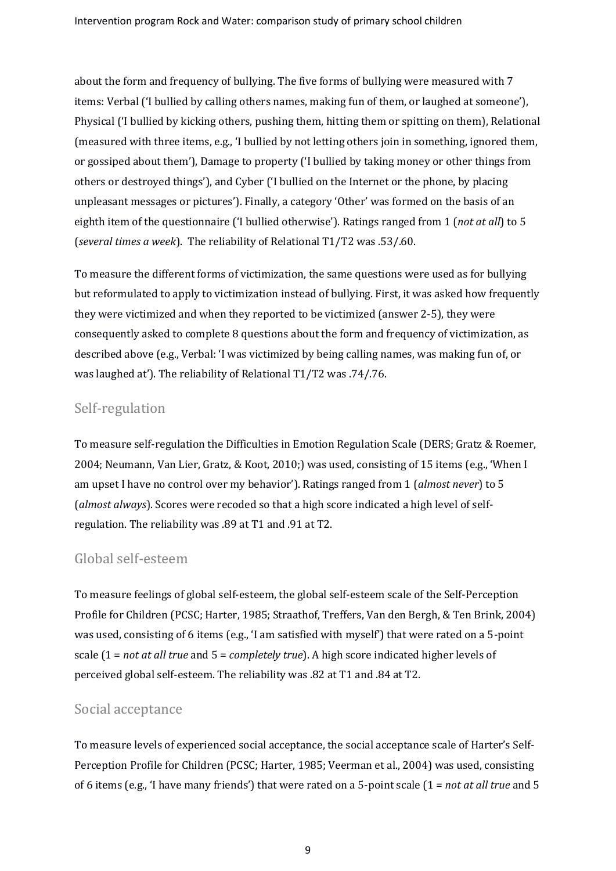about the form and frequency of bullying. The five forms of bullying were measured with 7 items: Verbal ('I bullied by calling others names, making fun of them, or laughed at someone'), Physical ('I bullied by kicking others, pushing them, hitting them or spitting on them), Relational (measured with three items, e.g., 'I bullied by not letting others join in something, ignored them, or gossiped about them'), Damage to property ('I bullied by taking money or other things from others or destroyed things'), and Cyber ('I bullied on the Internet or the phone, by placing unpleasant messages or pictures'). Finally, a category 'Other' was formed on the basis of an eighth item of the questionnaire ('I bullied otherwise'). Ratings ranged from 1 (*not at all*) to 5 (*several times a week*). The reliability of Relational T1/T2 was .53/.60.

To measure the different forms of victimization, the same questions were used as for bullying but reformulated to apply to victimization instead of bullying. First, it was asked how frequently they were victimized and when they reported to be victimized (answer 2-5), they were consequently asked to complete 8 questions about the form and frequency of victimization, as described above (e.g., Verbal: 'I was victimized by being calling names, was making fun of, or was laughed at'). The reliability of Relational T1/T2 was .74/.76.

# Self-regulation

To measure self-regulation the Difficulties in Emotion Regulation Scale (DERS; Gratz & Roemer, 2004; Neumann, Van Lier, Gratz, & Koot, 2010;) was used, consisting of 15 items (e.g., 'When I am upset I have no control over my behavior'). Ratings ranged from 1 (*almost never*) to 5 (*almost always*). Scores were recoded so that a high score indicated a high level of selfregulation. The reliability was .89 at T1 and .91 at T2.

## Global self-esteem

To measure feelings of global self-esteem, the global self-esteem scale of the Self-Perception Profile for Children (PCSC; Harter, 1985; Straathof, Treffers, Van den Bergh, & Ten Brink, 2004) was used, consisting of 6 items (e.g., 'I am satisfied with myself') that were rated on a 5-point scale (1 = *not at all true* and 5 = *completely true*). A high score indicated higher levels of perceived global self-esteem. The reliability was .82 at T1 and .84 at T2.

## Social acceptance

To measure levels of experienced social acceptance, the social acceptance scale of Harter's Self-Perception Profile for Children (PCSC; Harter, 1985; Veerman et al., 2004) was used, consisting of 6 items (e.g., 'I have many friends') that were rated on a 5-point scale (1 = *not at all true* and 5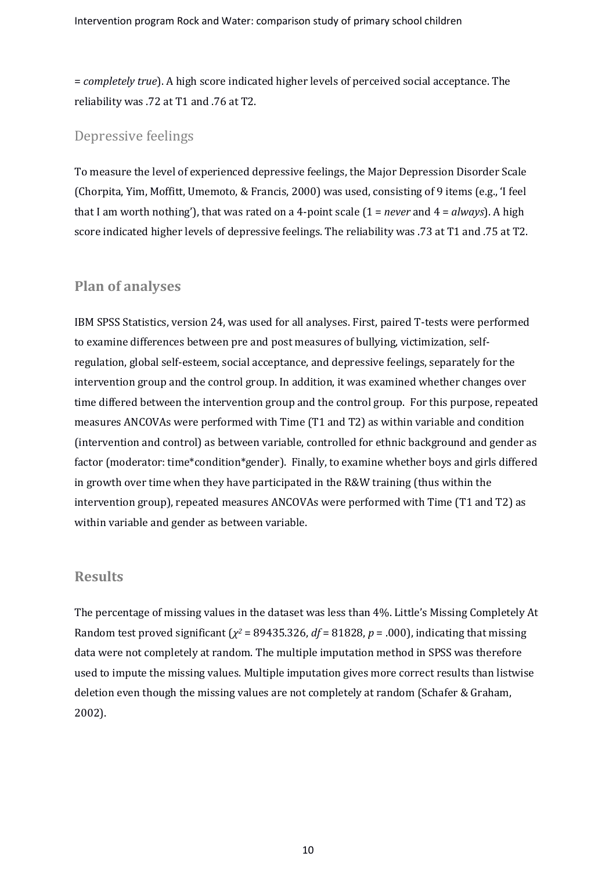= *completely true*). A high score indicated higher levels of perceived social acceptance. The reliability was .72 at T1 and .76 at T2.

#### Depressive feelings

To measure the level of experienced depressive feelings, the Major Depression Disorder Scale (Chorpita, Yim, Moffitt, Umemoto, & Francis, 2000) was used, consisting of 9 items (e.g., 'I feel that I am worth nothing'), that was rated on a 4-point scale (1 = *never* and 4 = *always*). A high score indicated higher levels of depressive feelings. The reliability was .73 at T1 and .75 at T2.

#### **Plan of analyses**

IBM SPSS Statistics, version 24, was used for all analyses. First, paired T-tests were performed to examine differences between pre and post measures of bullying, victimization, selfregulation, global self-esteem, social acceptance, and depressive feelings, separately for the intervention group and the control group. In addition, it was examined whether changes over time differed between the intervention group and the control group. For this purpose, repeated measures ANCOVAs were performed with Time (T1 and T2) as within variable and condition (intervention and control) as between variable, controlled for ethnic background and gender as factor (moderator: time\*condition\*gender). Finally, to examine whether boys and girls differed in growth over time when they have participated in the R&W training (thus within the intervention group), repeated measures ANCOVAs were performed with Time (T1 and T2) as within variable and gender as between variable.

#### **Results**

The percentage of missing values in the dataset was less than 4%. Little's Missing Completely At Random test proved significant ( $\chi^2$  = 89435.326, *df* = 81828, *p* = .000), indicating that missing data were not completely at random. The multiple imputation method in SPSS was therefore used to impute the missing values. Multiple imputation gives more correct results than listwise deletion even though the missing values are not completely at random (Schafer & Graham, 2002).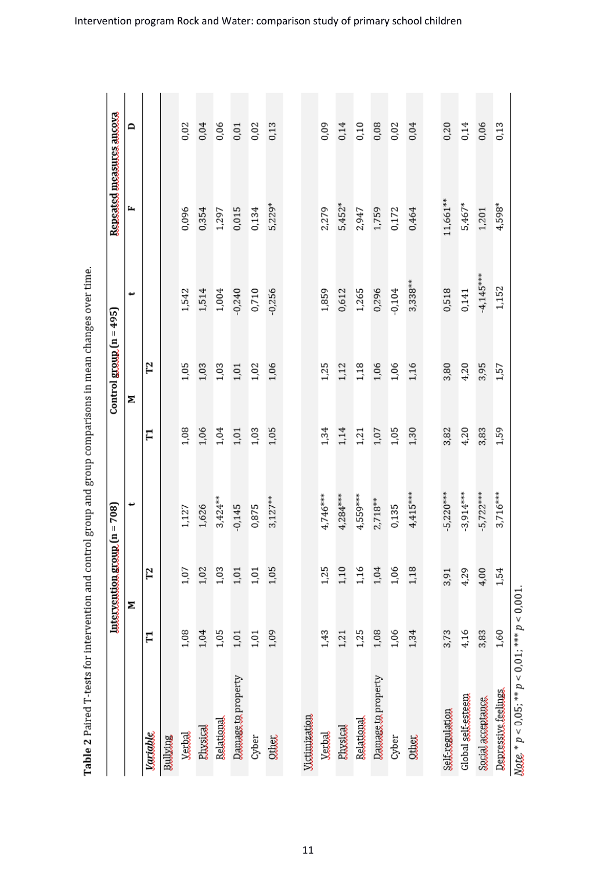Table 2 Paired T-tests for intervention and control group and group comparisons in mean changes over time.

|                                                                               |        | $\frac{1}{2} \frac{1}{2} \left( \frac{1}{2} \right) \left( \frac{1}{2} \right) \left( \frac{1}{2} \right) \left( \frac{1}{2} \right) \left( \frac{1}{2} \right) \left( \frac{1}{2} \right) \left( \frac{1}{2} \right) \left( \frac{1}{2} \right) \left( \frac{1}{2} \right) \left( \frac{1}{2} \right) \left( \frac{1}{2} \right) \left( \frac{1}{2} \right) \left( \frac{1}{2} \right) \left( \frac{1}{2} \right) \left( \frac{1}{2} \right) \left( \frac{1}{2} \$ |             |        | $Conv[1 = 495]$ |             | Repeated measuces aucova |      |
|-------------------------------------------------------------------------------|--------|---------------------------------------------------------------------------------------------------------------------------------------------------------------------------------------------------------------------------------------------------------------------------------------------------------------------------------------------------------------------------------------------------------------------------------------------------------------------|-------------|--------|-----------------|-------------|--------------------------|------|
|                                                                               | Σ      |                                                                                                                                                                                                                                                                                                                                                                                                                                                                     | پ           |        | Σ               | پ           | щ                        | ≏    |
| <b><i>Jacquile</i></b>                                                        | F      | 72                                                                                                                                                                                                                                                                                                                                                                                                                                                                  |             | H      | 72              |             |                          |      |
| Bullving                                                                      |        |                                                                                                                                                                                                                                                                                                                                                                                                                                                                     |             |        |                 |             |                          |      |
| Verbal                                                                        | 1,08   | 1,07                                                                                                                                                                                                                                                                                                                                                                                                                                                                | 1,127       | 1,08   | 1,05            | 1,542       | 0,096                    | 0,02 |
| <b>Eluxakal</b>                                                               | 1,04   | 1,02                                                                                                                                                                                                                                                                                                                                                                                                                                                                | 1,626       | 1,06   | 1,03            | 1,514       | 0,354                    | 0,04 |
| Relational                                                                    | 1,05   | 1,03                                                                                                                                                                                                                                                                                                                                                                                                                                                                | $3,424***$  | 1,04   | 1,03            | 1,004       | 1,297                    | 0,06 |
| <b>Damage</b> to property                                                     | $1,01$ | $1,01$                                                                                                                                                                                                                                                                                                                                                                                                                                                              | $-0,145$    | $1,01$ | $1,01$          | $-0,240$    | 0,015                    | 0,01 |
| Cyber                                                                         | 1,01   | 1,01                                                                                                                                                                                                                                                                                                                                                                                                                                                                | 0,875       | 1,03   | 1,02            | 0,710       | 0,134                    | 0,02 |
| <b>OULDEL</b>                                                                 | 1,09   | 1,05                                                                                                                                                                                                                                                                                                                                                                                                                                                                | $3,127***$  | 1,05   | 1,06            | $-0,256$    | $5,229*$                 | 0,13 |
|                                                                               |        |                                                                                                                                                                                                                                                                                                                                                                                                                                                                     |             |        |                 |             |                          |      |
| <b>Victionization</b>                                                         |        |                                                                                                                                                                                                                                                                                                                                                                                                                                                                     |             |        |                 |             |                          |      |
| Varbal                                                                        | 1,43   | 1,25                                                                                                                                                                                                                                                                                                                                                                                                                                                                | 4,746***    | 1,34   | 1,25            | 1,859       | 2,279                    | 0,09 |
| Elixsical                                                                     | 1,21   | 1,10                                                                                                                                                                                                                                                                                                                                                                                                                                                                | $4,284***$  | 1,14   | 1,12            | 0,612       | $5,452*$                 | 0,14 |
| Relational                                                                    | 1,25   | 1,16                                                                                                                                                                                                                                                                                                                                                                                                                                                                | $4,559***$  | 1,21   | 1,18            | 1,265       | 2,947                    | 0,10 |
| Damage to property                                                            | 1,08   | $1,04$                                                                                                                                                                                                                                                                                                                                                                                                                                                              | $2,718**$   | 1,07   | 1,06            | 0,296       | 1,759                    | 0,08 |
| Cyber                                                                         | 1,06   | 1,06                                                                                                                                                                                                                                                                                                                                                                                                                                                                | 0,135       | 1,05   | 1,06            | $-0,104$    | 0,172                    | 0,02 |
| <b>QUARL</b>                                                                  | 1,34   | 1,18                                                                                                                                                                                                                                                                                                                                                                                                                                                                | $4,415***$  | 1,30   | 1,16            | $3,338***$  | 0,464                    | 0,04 |
|                                                                               |        |                                                                                                                                                                                                                                                                                                                                                                                                                                                                     |             |        |                 |             |                          |      |
| Self.reaulation                                                               | 3,73   | 3,91                                                                                                                                                                                                                                                                                                                                                                                                                                                                | $-5,220***$ | 3,82   | 3,80            | 0,518       | 11,661**                 | 0,20 |
| Global self.esteem                                                            | 4,16   | 4,29                                                                                                                                                                                                                                                                                                                                                                                                                                                                | $-3,914***$ | 4,20   | 4,20            | 0,141       | $5,467*$                 | 0,14 |
| Social acceptance                                                             | 3,83   | 4,00                                                                                                                                                                                                                                                                                                                                                                                                                                                                | $-5,722***$ | 3,83   | 3,95            | $-4,145***$ | 1,201                    | 0,06 |
| Depressive teelings                                                           | 1,60   | 1,54                                                                                                                                                                                                                                                                                                                                                                                                                                                                | $3,716***$  | 1,59   | 1,57            | 1,152       | $4,598*$                 | 0,13 |
| $\frac{N}{2}$ $\frac{d}{dx}$ $\dot{p}$ < 0,05; ** $p$ < 0,01; *** $p$ < 0,001 |        |                                                                                                                                                                                                                                                                                                                                                                                                                                                                     |             |        |                 |             |                          |      |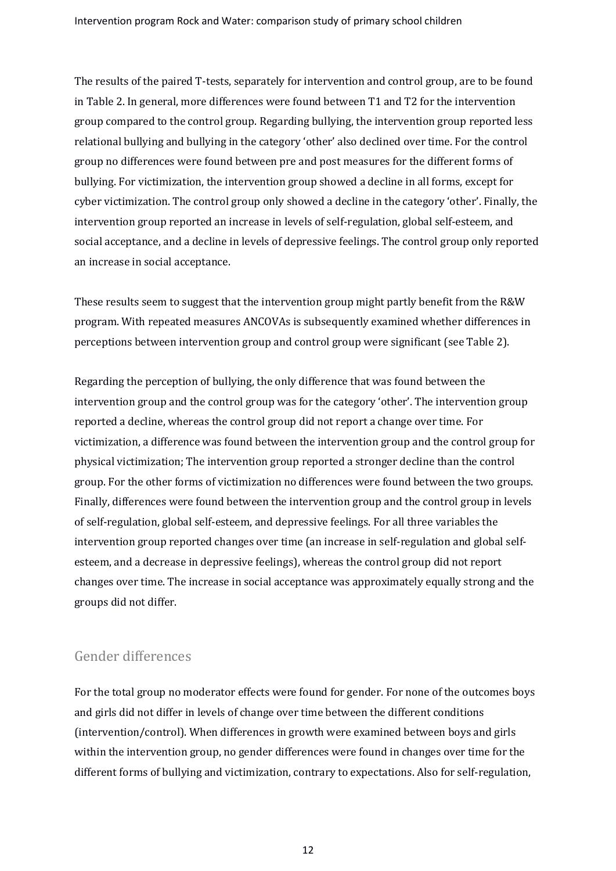The results of the paired T-tests, separately for intervention and control group, are to be found in Table 2. In general, more differences were found between T1 and T2 for the intervention group compared to the control group. Regarding bullying, the intervention group reported less relational bullying and bullying in the category 'other' also declined over time. For the control group no differences were found between pre and post measures for the different forms of bullying. For victimization, the intervention group showed a decline in all forms, except for cyber victimization. The control group only showed a decline in the category 'other'. Finally, the intervention group reported an increase in levels of self-regulation, global self-esteem, and social acceptance, and a decline in levels of depressive feelings. The control group only reported an increase in social acceptance.

These results seem to suggest that the intervention group might partly benefit from the R&W program. With repeated measures ANCOVAs is subsequently examined whether differences in perceptions between intervention group and control group were significant (see Table 2).

Regarding the perception of bullying, the only difference that was found between the intervention group and the control group was for the category 'other'. The intervention group reported a decline, whereas the control group did not report a change over time. For victimization, a difference was found between the intervention group and the control group for physical victimization; The intervention group reported a stronger decline than the control group. For the other forms of victimization no differences were found between the two groups. Finally, differences were found between the intervention group and the control group in levels of self-regulation, global self-esteem, and depressive feelings. For all three variables the intervention group reported changes over time (an increase in self-regulation and global selfesteem, and a decrease in depressive feelings), whereas the control group did not report changes over time. The increase in social acceptance was approximately equally strong and the groups did not differ.

## Gender differences

For the total group no moderator effects were found for gender. For none of the outcomes boys and girls did not differ in levels of change over time between the different conditions (intervention/control). When differences in growth were examined between boys and girls within the intervention group, no gender differences were found in changes over time for the different forms of bullying and victimization, contrary to expectations. Also for self-regulation,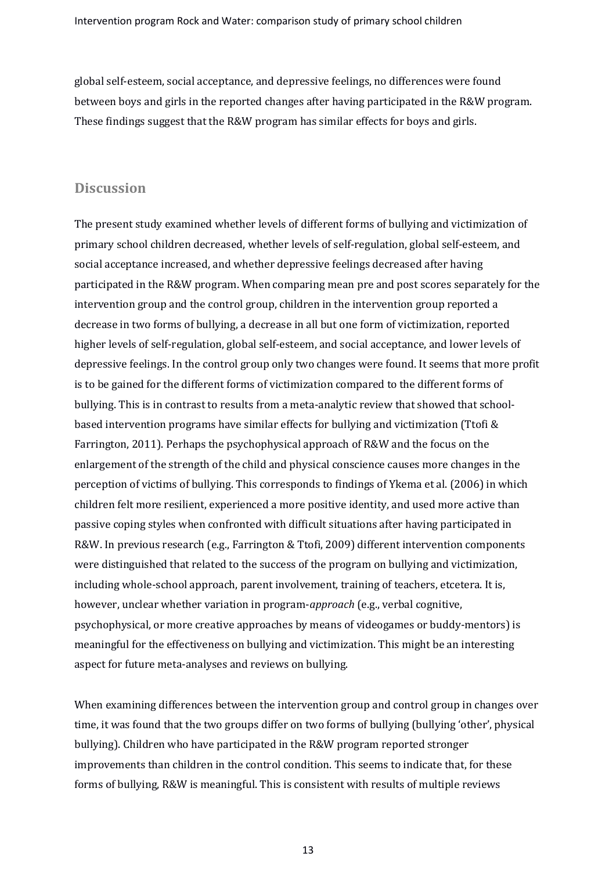global self-esteem, social acceptance, and depressive feelings, no differences were found between boys and girls in the reported changes after having participated in the R&W program. These findings suggest that the R&W program has similar effects for boys and girls.

#### **Discussion**

The present study examined whether levels of different forms of bullying and victimization of primary school children decreased, whether levels of self-regulation, global self-esteem, and social acceptance increased, and whether depressive feelings decreased after having participated in the R&W program. When comparing mean pre and post scores separately for the intervention group and the control group, children in the intervention group reported a decrease in two forms of bullying, a decrease in all but one form of victimization, reported higher levels of self-regulation, global self-esteem, and social acceptance, and lower levels of depressive feelings. In the control group only two changes were found. It seems that more profit is to be gained for the different forms of victimization compared to the different forms of bullying. This is in contrast to results from a meta-analytic review that showed that schoolbased intervention programs have similar effects for bullying and victimization (Ttofi & Farrington, 2011). Perhaps the psychophysical approach of R&W and the focus on the enlargement of the strength of the child and physical conscience causes more changes in the perception of victims of bullying. This corresponds to findings of Ykema et al. (2006) in which children felt more resilient, experienced a more positive identity, and used more active than passive coping styles when confronted with difficult situations after having participated in R&W. In previous research (e.g., Farrington & Ttofi, 2009) different intervention components were distinguished that related to the success of the program on bullying and victimization, including whole-school approach, parent involvement, training of teachers, etcetera. It is, however, unclear whether variation in program-*approach* (e.g., verbal cognitive, psychophysical, or more creative approaches by means of videogames or buddy-mentors) is meaningful for the effectiveness on bullying and victimization. This might be an interesting aspect for future meta-analyses and reviews on bullying.

When examining differences between the intervention group and control group in changes over time, it was found that the two groups differ on two forms of bullying (bullying 'other', physical bullying). Children who have participated in the R&W program reported stronger improvements than children in the control condition. This seems to indicate that, for these forms of bullying, R&W is meaningful. This is consistent with results of multiple reviews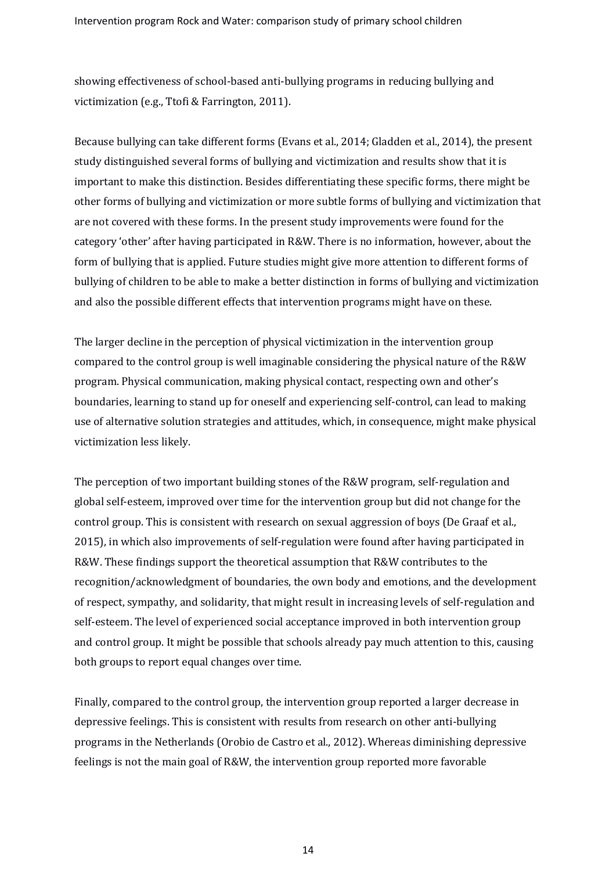showing effectiveness of school-based anti-bullying programs in reducing bullying and victimization (e.g., Ttofi & Farrington, 2011).

Because bullying can take different forms (Evans et al., 2014; Gladden et al., 2014), the present study distinguished several forms of bullying and victimization and results show that it is important to make this distinction. Besides differentiating these specific forms, there might be other forms of bullying and victimization or more subtle forms of bullying and victimization that are not covered with these forms. In the present study improvements were found for the category 'other' after having participated in R&W. There is no information, however, about the form of bullying that is applied. Future studies might give more attention to different forms of bullying of children to be able to make a better distinction in forms of bullying and victimization and also the possible different effects that intervention programs might have on these.

The larger decline in the perception of physical victimization in the intervention group compared to the control group is well imaginable considering the physical nature of the R&W program. Physical communication, making physical contact, respecting own and other's boundaries, learning to stand up for oneself and experiencing self-control, can lead to making use of alternative solution strategies and attitudes, which, in consequence, might make physical victimization less likely.

The perception of two important building stones of the R&W program, self-regulation and global self-esteem, improved over time for the intervention group but did not change for the control group. This is consistent with research on sexual aggression of boys (De Graaf et al., 2015), in which also improvements of self-regulation were found after having participated in R&W. These findings support the theoretical assumption that R&W contributes to the recognition/acknowledgment of boundaries, the own body and emotions, and the development of respect, sympathy, and solidarity, that might result in increasing levels of self-regulation and self-esteem. The level of experienced social acceptance improved in both intervention group and control group. It might be possible that schools already pay much attention to this, causing both groups to report equal changes over time.

Finally, compared to the control group, the intervention group reported a larger decrease in depressive feelings. This is consistent with results from research on other anti-bullying programs in the Netherlands (Orobio de Castro et al., 2012). Whereas diminishing depressive feelings is not the main goal of R&W, the intervention group reported more favorable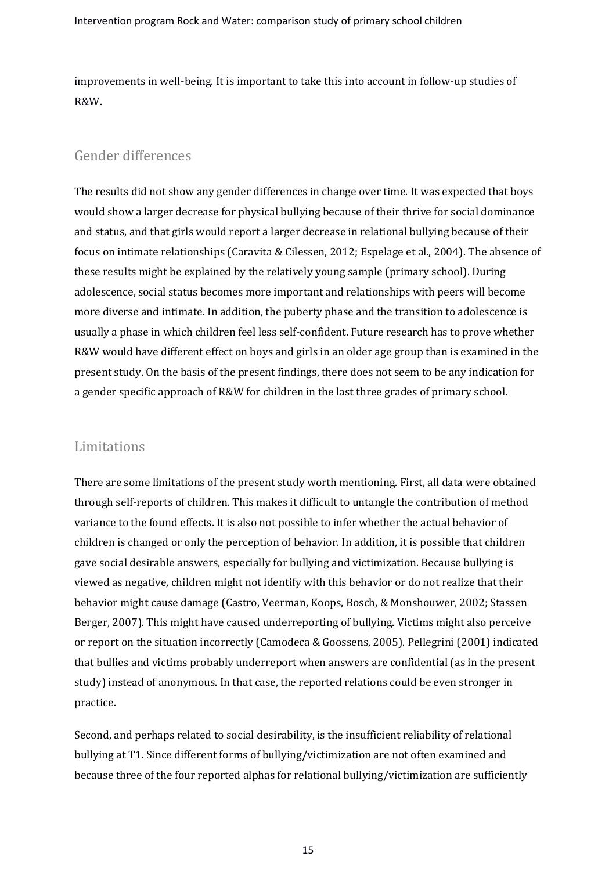improvements in well-being. It is important to take this into account in follow-up studies of R&W.

# Gender differences

The results did not show any gender differences in change over time. It was expected that boys would show a larger decrease for physical bullying because of their thrive for social dominance and status, and that girls would report a larger decrease in relational bullying because of their focus on intimate relationships (Caravita & Cilessen, 2012; Espelage et al., 2004). The absence of these results might be explained by the relatively young sample (primary school). During adolescence, social status becomes more important and relationships with peers will become more diverse and intimate. In addition, the puberty phase and the transition to adolescence is usually a phase in which children feel less self-confident. Future research has to prove whether R&W would have different effect on boys and girls in an older age group than is examined in the present study. On the basis of the present findings, there does not seem to be any indication for a gender specific approach of R&W for children in the last three grades of primary school.

## Limitations

There are some limitations of the present study worth mentioning. First, all data were obtained through self-reports of children. This makes it difficult to untangle the contribution of method variance to the found effects. It is also not possible to infer whether the actual behavior of children is changed or only the perception of behavior. In addition, it is possible that children gave social desirable answers, especially for bullying and victimization. Because bullying is viewed as negative, children might not identify with this behavior or do not realize that their behavior might cause damage (Castro, Veerman, Koops, Bosch, & Monshouwer, 2002; Stassen Berger, 2007). This might have caused underreporting of bullying. Victims might also perceive or report on the situation incorrectly (Camodeca & Goossens, 2005). Pellegrini (2001) indicated that bullies and victims probably underreport when answers are confidential (as in the present study) instead of anonymous. In that case, the reported relations could be even stronger in practice.

Second, and perhaps related to social desirability, is the insufficient reliability of relational bullying at T1. Since different forms of bullying/victimization are not often examined and because three of the four reported alphas for relational bullying/victimization are sufficiently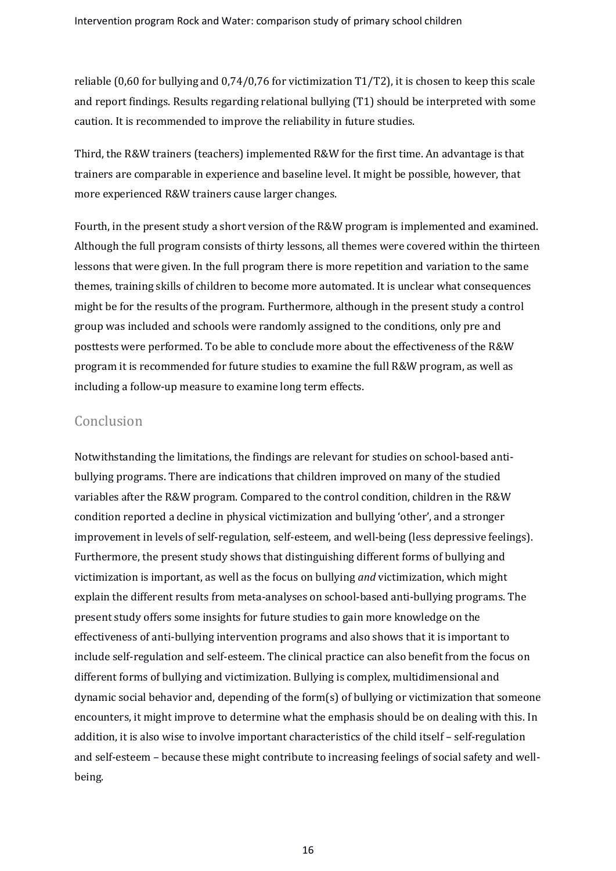reliable (0,60 for bullying and 0,74/0,76 for victimization T1/T2), it is chosen to keep this scale and report findings. Results regarding relational bullying (T1) should be interpreted with some caution. It is recommended to improve the reliability in future studies.

Third, the R&W trainers (teachers) implemented R&W for the first time. An advantage is that trainers are comparable in experience and baseline level. It might be possible, however, that more experienced R&W trainers cause larger changes.

Fourth, in the present study a short version of the R&W program is implemented and examined. Although the full program consists of thirty lessons, all themes were covered within the thirteen lessons that were given. In the full program there is more repetition and variation to the same themes, training skills of children to become more automated. It is unclear what consequences might be for the results of the program. Furthermore, although in the present study a control group was included and schools were randomly assigned to the conditions, only pre and posttests were performed. To be able to conclude more about the effectiveness of the R&W program it is recommended for future studies to examine the full R&W program, as well as including a follow-up measure to examine long term effects.

#### Conclusion

Notwithstanding the limitations, the findings are relevant for studies on school-based antibullying programs. There are indications that children improved on many of the studied variables after the R&W program. Compared to the control condition, children in the R&W condition reported a decline in physical victimization and bullying 'other', and a stronger improvement in levels of self-regulation, self-esteem, and well-being (less depressive feelings). Furthermore, the present study shows that distinguishing different forms of bullying and victimization is important, as well as the focus on bullying *and* victimization, which might explain the different results from meta-analyses on school-based anti-bullying programs. The present study offers some insights for future studies to gain more knowledge on the effectiveness of anti-bullying intervention programs and also shows that it is important to include self-regulation and self-esteem. The clinical practice can also benefit from the focus on different forms of bullying and victimization. Bullying is complex, multidimensional and dynamic social behavior and, depending of the form(s) of bullying or victimization that someone encounters, it might improve to determine what the emphasis should be on dealing with this. In addition, it is also wise to involve important characteristics of the child itself – self-regulation and self-esteem – because these might contribute to increasing feelings of social safety and wellbeing.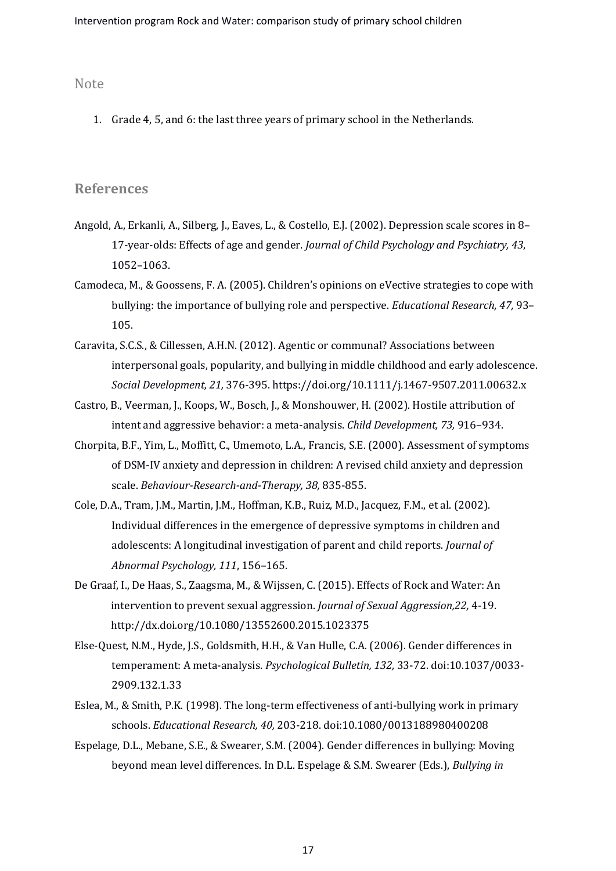#### Note

1. Grade 4, 5, and 6: the last three years of primary school in the Netherlands.

#### **References**

- Angold, A., Erkanli, A., Silberg, J., Eaves, L., & Costello, E.J. (2002). Depression scale scores in 8– 17-year-olds: Effects of age and gender. *Journal of Child Psychology and Psychiatry, 43*, 1052–1063.
- Camodeca, M., & Goossens, F. A. (2005). Children's opinions on eVective strategies to cope with bullying: the importance of bullying role and perspective. *Educational Research, 47,* 93– 105.
- Caravita, S.C.S., & Cillessen, A.H.N. (2012). [Agentic or communal? Associations between](http://ovidsp.tx.ovid.com.proxy.library.uu.nl/sp-3.28.0a/ovidweb.cgi?&S=MDMMFPPBMPDDHCCKNCFKKDJCIPFFAA00&Complete+Reference=S.sh.42%7c1%7c1)  [interpersonal goals, popularity, and bullying in middle childhood and early adolescence.](http://ovidsp.tx.ovid.com.proxy.library.uu.nl/sp-3.28.0a/ovidweb.cgi?&S=MDMMFPPBMPDDHCCKNCFKKDJCIPFFAA00&Complete+Reference=S.sh.42%7c1%7c1) *Social Development, 21,* 376-395. https://doi.org/10.1111/j.1467-9507.2011.00632.x
- Castro, B., Veerman, J., Koops, W., Bosch, J., & Monshouwer, H. (2002). Hostile attribution of intent and aggressive behavior: a meta-analysis. *Child Development, 73,* 916–934.
- Chorpita, B.F., Yim, L., Moffitt, C., Umemoto, L.A., Francis, S.E. (2000). Assessment of symptoms of DSM-IV anxiety and depression in children: A revised child anxiety and depression scale. *Behaviour-Research-and-Therapy, 38,* 835-855.
- Cole, D.A., Tram, J.M., Martin, J.M., Hoffman, K.B., Ruiz, M.D., Jacquez, F.M., et al. (2002). Individual differences in the emergence of depressive symptoms in children and adolescents: A longitudinal investigation of parent and child reports. *Journal of Abnormal Psychology, 111*, 156–165.
- De Graaf, I., De Haas, S., Zaagsma, M., & Wijssen, C. (2015). Effects of Rock and Water: An intervention to prevent sexual aggression. *Journal of Sexual Aggression,22,* 4-19. http://dx.doi.org/10.1080/13552600.2015.1023375
- Else-Quest, N.M., Hyde, J.S., Goldsmith, H.H., & Van Hulle, C.A. (2006). Gender differences in temperament: A meta-analysis. *Psychological Bulletin, 132,* 33-72. doi:10.1037/0033- 2909.132.1.33
- Eslea, M., & Smith, P.K. (1998). The long-term effectiveness of anti-bullying work in primary schools. *Educational Research, 40,* 203-218. doi:10.1080/0013188980400208
- Espelage, D.L., Mebane, S.E., & Swearer, S.M. (2004). Gender differences in bullying: Moving beyond mean level differences. In D.L. Espelage & S.M. Swearer (Eds.), *Bullying in*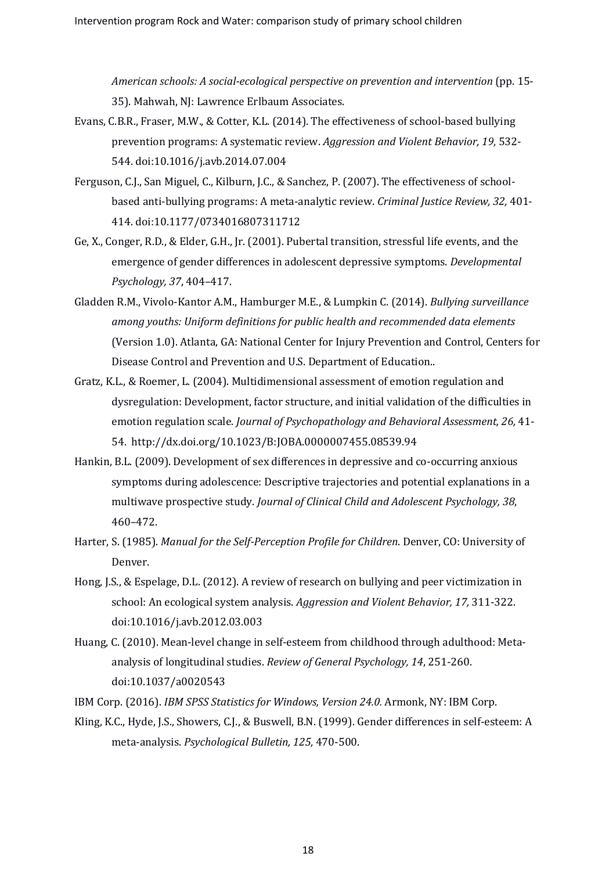*American schools: A social-ecological perspective on prevention and intervention* (pp. 15- 35). Mahwah, NJ: Lawrence Erlbaum Associates.

- Evans, C.B.R., Fraser, M.W., & Cotter, K.L. (2014). The effectiveness of school-based bullying prevention programs: A systematic review. *Aggression and Violent Behavior, 19,* 532- 544. doi:10.1016/j.avb.2014.07.004
- Ferguson, C.J., San Miguel, C., Kilburn, J.C., & Sanchez, P. (2007). The effectiveness of schoolbased anti-bullying programs: A meta-analytic review. *Criminal Justice Review, 32,* 401- 414. doi:10.1177/0734016807311712
- Ge, X., Conger, R.D., & Elder, G.H., Jr. (2001). Pubertal transition, stressful life events, and the emergence of gender differences in adolescent depressive symptoms. *Developmental Psychology, 37*, 404–417.
- Gladden R.M., Vivolo-Kantor A.M., Hamburger M.E., & Lumpkin C. (2014). *Bullying surveillance among youths: Uniform definitions for public health and recommended data elements*  (Version 1.0). Atlanta, GA: National Center for Injury Prevention and Control, Centers for Disease Control and Prevention and U.S. Department of Education..
- Gratz, K.L., & Roemer, L. (2004). Multidimensional assessment of emotion regulation and dysregulation: Development, factor structure, and initial validation of the difficulties in emotion regulation scale. *Journal of Psychopathology and Behavioral Assessment, 26,* 41- 54. [http://dx.doi.org/10.1023/B:JOBA.0000007455.08539.94](https://doi.org/10.1023/B%3AJOBA.0000007455.08539.94)
- Hankin, B.L. (2009). Development of sex differences in depressive and co-occurring anxious symptoms during adolescence: Descriptive trajectories and potential explanations in a multiwave prospective study. *Journal of Clinical Child and Adolescent Psychology, 38*, 460–472.
- Harter, S. (1985). *Manual for the Self-Perception Profile for Children*. Denver, CO: University of Denver.
- Hong, J.S., & Espelage, D.L. (2012)[. A review of research on bullying and peer victimization in](http://ovidsp.tx.ovid.com/sp-3.28.0a/ovidweb.cgi?&S=GLOFFPBHDADDGCADNCFKIGLBPMCAAA00&Complete+Reference=S.sh.46%7c3%7c1)  [school: An ecological system analysis.](http://ovidsp.tx.ovid.com/sp-3.28.0a/ovidweb.cgi?&S=GLOFFPBHDADDGCADNCFKIGLBPMCAAA00&Complete+Reference=S.sh.46%7c3%7c1) *Aggression and Violent Behavior, 17,* 311-322. doi[:10.1016/j.avb.2012.03.003](https://doi.org/10.1016/j.avb.2012.03.003)
- Huang, C. (2010). Mean-level change in self-esteem from childhood through adulthood: Metaanalysis of longitudinal studies. *Review of General Psychology, 14*, 251-260. doi:10.1037/a0020543
- IBM Corp. (2016). *IBM SPSS Statistics for Windows, Version 24.0.* Armonk, NY: IBM Corp.
- Kling, K.C., Hyde, J.S., Showers, C.J., & Buswell, B.N. (1999)[. Gender differences in self-esteem: A](http://ovidsp.tx.ovid.com/sp-3.28.0a/ovidweb.cgi?&S=GLOFFPBHDADDGCADNCFKIGLBPMCAAA00&Link+Set=S.sh.49%7c1%7csl_10)  [meta-analysis.](http://ovidsp.tx.ovid.com/sp-3.28.0a/ovidweb.cgi?&S=GLOFFPBHDADDGCADNCFKIGLBPMCAAA00&Link+Set=S.sh.49%7c1%7csl_10) *Psychological Bulletin, 125,* 470-500.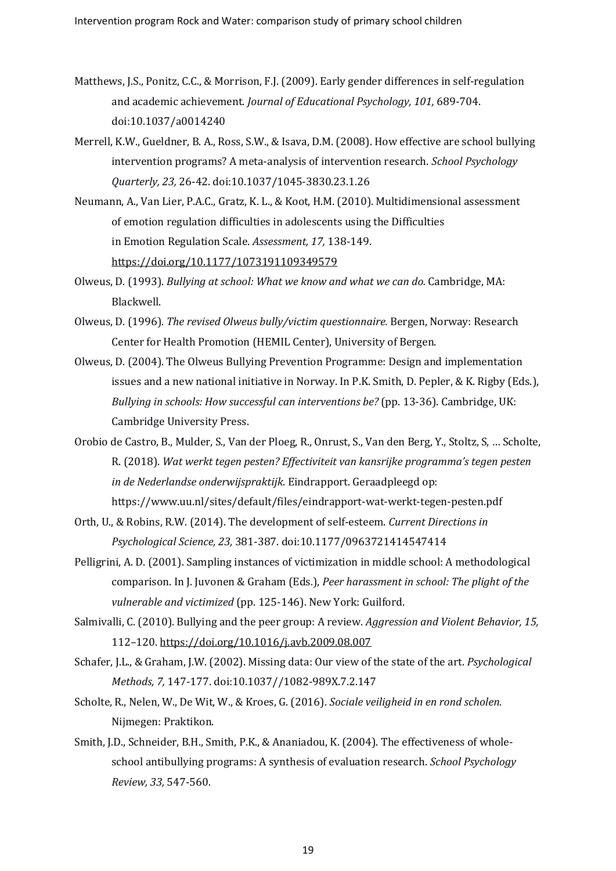- Matthews, J.S., Ponitz, C.C., & Morrison, F.J. (2009)[. Early gender differences in self-regulation](http://ovidsp.tx.ovid.com/sp-3.28.0a/ovidweb.cgi?&S=GLOFFPBHDADDGCADNCFKIGLBPMCAAA00&Link+Set=S.sh.53%7c1%7csl_10)  [and academic achievement.](http://ovidsp.tx.ovid.com/sp-3.28.0a/ovidweb.cgi?&S=GLOFFPBHDADDGCADNCFKIGLBPMCAAA00&Link+Set=S.sh.53%7c1%7csl_10) *Journal of Educational Psychology, 101,* 689-704. doi:10.1037/a0014240
- Merrell, K.W., Gueldner, B. A., Ross, S.W., & Isava, D.M. (2008). How effective are school bullying intervention programs? A meta-analysis of intervention research. *School Psychology Quarterly, 23,* 26-42. doi:10.1037/1045-3830.23.1.26
- Neumann, A., Van Lier, P.A.C., Gratz, K. L., & Koot, H.M. (2010)[. Multidimensional assessment](http://ovidsp.uk.ovid.com.proxy.library.uu.nl/sp-3.25.0a/ovidweb.cgi?&S=DHLAPDJFEGHFNNKDFNGKJEJHNDOPAA00&Complete+Reference=S.sh.42%7c1%7c1)  of emotion [regulation difficulties in adolescents using the Difficulties](http://ovidsp.uk.ovid.com.proxy.library.uu.nl/sp-3.25.0a/ovidweb.cgi?&S=DHLAPDJFEGHFNNKDFNGKJEJHNDOPAA00&Complete+Reference=S.sh.42%7c1%7c1)  in Emotion [Regulation Scale.](http://ovidsp.uk.ovid.com.proxy.library.uu.nl/sp-3.25.0a/ovidweb.cgi?&S=DHLAPDJFEGHFNNKDFNGKJEJHNDOPAA00&Complete+Reference=S.sh.42%7c1%7c1) *Assessment, 17,* 138-149. <https://doi.org/10.1177/1073191109349579>
- Olweus, D. (1993). *Bullying at school: What we know and what we can do.* Cambridge, MA: Blackwell.
- Olweus, D. (1996). *The revised Olweus bully/victim questionnaire.* Bergen, Norway: Research Center for Health Promotion (HEMIL Center), University of Bergen.
- Olweus, D. (2004). The Olweus Bullying Prevention Programme: Design and implementation issues and a new national initiative in Norway. In P.K. Smith, D. Pepler, & K. Rigby (Eds.), *Bullying in schools: How successful can interventions be?* (pp. 13-36). Cambridge, UK: Cambridge University Press.
- Orobio de Castro, B., Mulder, S., Van der Ploeg, R., Onrust, S., Van den Berg, Y., Stoltz, S, … Scholte, R. (2018). *Wat werkt tegen pesten? Effectiviteit van kansrijke programma's tegen pesten in de Nederlandse onderwijspraktijk*. Eindrapport. Geraadpleegd op: https://www.uu.nl/sites/default/files/eindrapport-wat-werkt-tegen-pesten.pdf
- Orth, U., & Robins, R.W. (2014). [The development of self-esteem.](http://ovidsp.tx.ovid.com.proxy.library.uu.nl/sp-3.28.0a/ovidweb.cgi?&S=MDMMFPPBMPDDHCCKNCFKKDJCIPFFAA00&Complete+Reference=S.sh.54%7c2%7c1) *Current Directions in Psychological Science, 23,* 381-387. doi:10.1177/0963721414547414
- Pelligrini, A. D. (2001). Sampling instances of victimization in middle school: A methodological comparison. In J. Juvonen & Graham (Eds.), *Peer harassment in school: The plight of the vulnerable and victimized* (pp. 125-146). New York: Guilford.
- Salmivalli, C. (2010). Bullying and the peer group: A review. *Aggression and Violent Behavior, 15,*  112–120[. https://doi.org/10.1016/j.avb.2009.08.007](https://doi.org/10.1016/j.avb.2009.08.007)
- Schafer, J.L., & Graham, J.W. (2002). Missing data: Our view of the state of the art. *Psychological Methods, 7,* 147-177. doi:10.1037//1082-989X.7.2.147
- Scholte, R., Nelen, W., De Wit, W., & Kroes, G. (2016). *Sociale veiligheid in en rond scholen.*  Nijmegen: Praktikon.
- Smith, J.D., Schneider, B.H., Smith, P.K., & Ananiadou, K. (2004). The effectiveness of wholeschool antibullying programs: A synthesis of evaluation research. *School Psychology Review, 33,* 547-560.